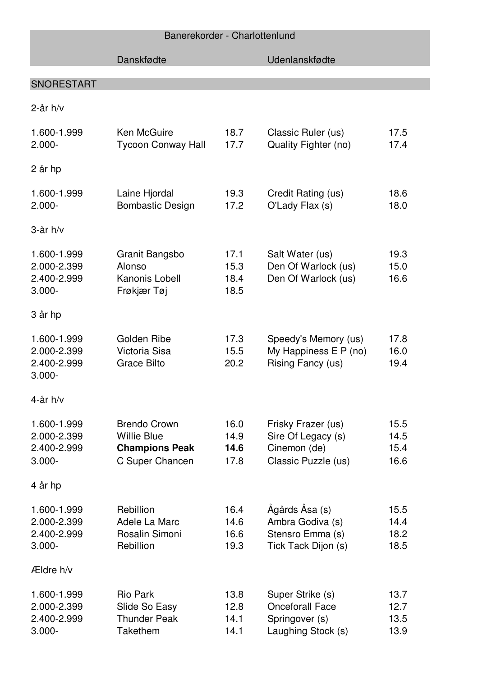| Banerekorder - Charlottenlund |
|-------------------------------|
|                               |

|                                                        | Danskfødte                                                                            |                              | Udenlanskfødte                                                                     |                              |
|--------------------------------------------------------|---------------------------------------------------------------------------------------|------------------------------|------------------------------------------------------------------------------------|------------------------------|
| <b>SNORESTART</b>                                      |                                                                                       |                              |                                                                                    |                              |
| $2$ -år h/v                                            |                                                                                       |                              |                                                                                    |                              |
| 1.600-1.999<br>$2.000 -$                               | <b>Ken McGuire</b><br><b>Tycoon Conway Hall</b>                                       | 18.7<br>17.7                 | Classic Ruler (us)<br>Quality Fighter (no)                                         | 17.5<br>17.4                 |
| 2 år hp                                                |                                                                                       |                              |                                                                                    |                              |
| 1.600-1.999<br>$2.000 -$                               | Laine Hjordal<br><b>Bombastic Design</b>                                              | 19.3<br>17.2                 | Credit Rating (us)<br>O'Lady Flax (s)                                              | 18.6<br>18.0                 |
| $3$ -år h/v                                            |                                                                                       |                              |                                                                                    |                              |
| 1.600-1.999<br>2.000-2.399<br>2.400-2.999<br>$3.000 -$ | Granit Bangsbo<br>Alonso<br>Kanonis Lobell<br>Frøkjær Tøj                             | 17.1<br>15.3<br>18.4<br>18.5 | Salt Water (us)<br>Den Of Warlock (us)<br>Den Of Warlock (us)                      | 19.3<br>15.0<br>16.6         |
| 3 år hp                                                |                                                                                       |                              |                                                                                    |                              |
| 1.600-1.999<br>2.000-2.399<br>2.400-2.999<br>$3.000 -$ | Golden Ribe<br>Victoria Sisa<br><b>Grace Bilto</b>                                    | 17.3<br>15.5<br>20.2         | Speedy's Memory (us)<br>My Happiness E P (no)<br>Rising Fancy (us)                 | 17.8<br>16.0<br>19.4         |
| 4-år h/v                                               |                                                                                       |                              |                                                                                    |                              |
| 1.600-1.999<br>2.000-2.399<br>2.400-2.999<br>$3.000 -$ | <b>Brendo Crown</b><br><b>Willie Blue</b><br><b>Champions Peak</b><br>C Super Chancen | 16.0<br>14.9<br>14.6<br>17.8 | Frisky Frazer (us)<br>Sire Of Legacy (s)<br>Cinemon (de)<br>Classic Puzzle (us)    | 15.5<br>14.5<br>15.4<br>16.6 |
| 4 år hp                                                |                                                                                       |                              |                                                                                    |                              |
| 1.600-1.999<br>2.000-2.399<br>2.400-2.999<br>$3.000 -$ | Rebillion<br>Adele La Marc<br>Rosalin Simoni<br>Rebillion                             | 16.4<br>14.6<br>16.6<br>19.3 | Ågårds Åsa (s)<br>Ambra Godiva (s)<br>Stensro Emma (s)<br>Tick Tack Dijon (s)      | 15.5<br>14.4<br>18.2<br>18.5 |
| Ældre h/v                                              |                                                                                       |                              |                                                                                    |                              |
| 1.600-1.999<br>2.000-2.399<br>2.400-2.999<br>$3.000 -$ | <b>Rio Park</b><br>Slide So Easy<br><b>Thunder Peak</b><br>Takethem                   | 13.8<br>12.8<br>14.1<br>14.1 | Super Strike (s)<br><b>Onceforall Face</b><br>Springover (s)<br>Laughing Stock (s) | 13.7<br>12.7<br>13.5<br>13.9 |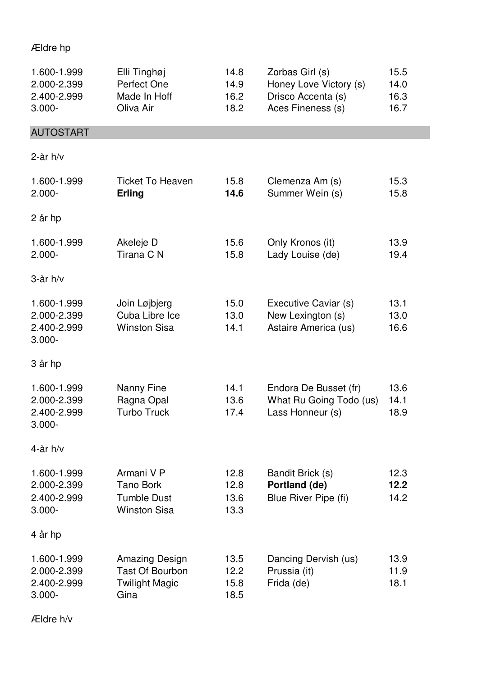## Ældre hp

| 1.600-1.999<br>2.000-2.399<br>2.400-2.999<br>$3.000 -$ | Elli Tinghøj<br>Perfect One<br>Made In Hoff<br>Oliva Air                         | 14.8<br>14.9<br>16.2<br>18.2 | Zorbas Girl (s)<br>Honey Love Victory (s)<br>Drisco Accenta (s)<br>Aces Fineness (s) | 15.5<br>14.0<br>16.3<br>16.7 |
|--------------------------------------------------------|----------------------------------------------------------------------------------|------------------------------|--------------------------------------------------------------------------------------|------------------------------|
| <b>AUTOSTART</b>                                       |                                                                                  |                              |                                                                                      |                              |
| $2$ -år h/v                                            |                                                                                  |                              |                                                                                      |                              |
| 1.600-1.999<br>$2.000 -$                               | <b>Ticket To Heaven</b><br>Erling                                                | 15.8<br>14.6                 | Clemenza Am (s)<br>Summer Wein (s)                                                   | 15.3<br>15.8                 |
| 2 år hp                                                |                                                                                  |                              |                                                                                      |                              |
| 1.600-1.999<br>$2.000 -$                               | Akeleje D<br>Tirana C N                                                          | 15.6<br>15.8                 | Only Kronos (it)<br>Lady Louise (de)                                                 | 13.9<br>19.4                 |
| $3$ -år h/v                                            |                                                                                  |                              |                                                                                      |                              |
| 1.600-1.999<br>2.000-2.399<br>2.400-2.999<br>$3.000 -$ | Join Løjbjerg<br>Cuba Libre Ice<br><b>Winston Sisa</b>                           | 15.0<br>13.0<br>14.1         | Executive Caviar (s)<br>New Lexington (s)<br>Astaire America (us)                    | 13.1<br>13.0<br>16.6         |
| 3 år hp                                                |                                                                                  |                              |                                                                                      |                              |
| 1.600-1.999<br>2.000-2.399<br>2.400-2.999<br>$3.000 -$ | Nanny Fine<br>Ragna Opal<br><b>Turbo Truck</b>                                   | 14.1<br>13.6<br>17.4         | Endora De Busset (fr)<br>What Ru Going Todo (us)<br>Lass Honneur (s)                 | 13.6<br>14.1<br>18.9         |
| 4-år h/v                                               |                                                                                  |                              |                                                                                      |                              |
| 1.600-1.999<br>2.000-2.399<br>2.400-2.999<br>$3.000 -$ | Armani V P<br><b>Tano Bork</b><br><b>Tumble Dust</b><br><b>Winston Sisa</b>      | 12.8<br>12.8<br>13.6<br>13.3 | Bandit Brick (s)<br>Portland (de)<br>Blue River Pipe (fi)                            | 12.3<br>12.2<br>14.2         |
| 4 år hp                                                |                                                                                  |                              |                                                                                      |                              |
| 1.600-1.999<br>2.000-2.399<br>2.400-2.999<br>$3.000 -$ | <b>Amazing Design</b><br><b>Tast Of Bourbon</b><br><b>Twilight Magic</b><br>Gina | 13.5<br>12.2<br>15.8<br>18.5 | Dancing Dervish (us)<br>Prussia (it)<br>Frida (de)                                   | 13.9<br>11.9<br>18.1         |

Ældre h/v